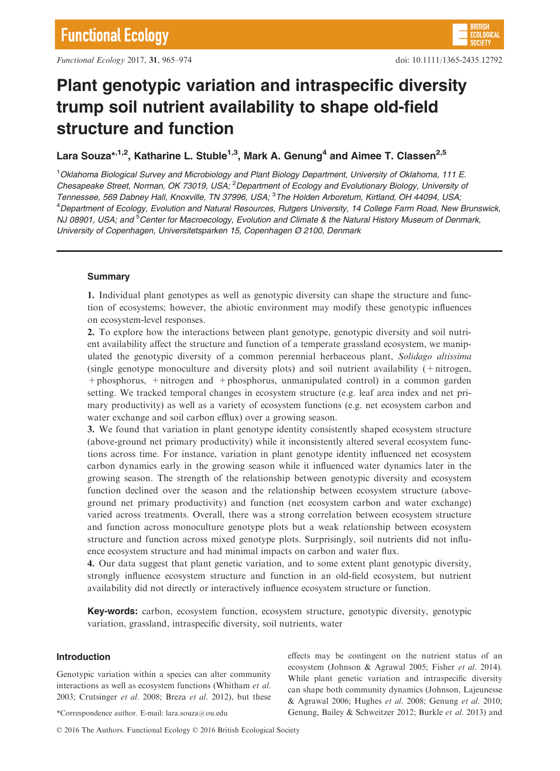

# Plant genotypic variation and intraspecific diversity trump soil nutrient availability to shape old-field structure and function

Lara Souza<sup>\*, 1,2</sup>, Katharine L. Stuble<sup>1,3</sup>, Mark A. Genung<sup>4</sup> and Aimee T. Classen<sup>2,5</sup>

<sup>1</sup>Oklahoma Biological Survey and Microbiology and Plant Biology Department, University of Oklahoma, 111 E. Chesapeake Street, Norman, OK 73019, USA; <sup>2</sup> Department of Ecology and Evolutionary Biology, University or Tennessee, 569 Dabney Hall, Knoxville, TN 37996, USA; <sup>3</sup>The Holden Arboretum, Kirtland, OH 44094, USA, 4 Department of Ecology, Evolution and Natural Resources, Rutgers University, 14 College Farm Road, New Brunswick, NJ 08901, USA; and <sup>5</sup>Center for Macroecology, Evolution and Climate & the Natural History Museum of Denmark, University of Copenhagen, Universitetsparken 15, Copenhagen Ø 2100, Denmark

# Summary

1. Individual plant genotypes as well as genotypic diversity can shape the structure and function of ecosystems; however, the abiotic environment may modify these genotypic influences on ecosystem-level responses.

2. To explore how the interactions between plant genotype, genotypic diversity and soil nutrient availability affect the structure and function of a temperate grassland ecosystem, we manipulated the genotypic diversity of a common perennial herbaceous plant, Solidago altissima (single genotype monoculture and diversity plots) and soil nutrient availability (+nitrogen, +phosphorus, +nitrogen and +phosphorus, unmanipulated control) in a common garden setting. We tracked temporal changes in ecosystem structure (e.g. leaf area index and net primary productivity) as well as a variety of ecosystem functions (e.g. net ecosystem carbon and water exchange and soil carbon efflux) over a growing season.

3. We found that variation in plant genotype identity consistently shaped ecosystem structure (above-ground net primary productivity) while it inconsistently altered several ecosystem functions across time. For instance, variation in plant genotype identity influenced net ecosystem carbon dynamics early in the growing season while it influenced water dynamics later in the growing season. The strength of the relationship between genotypic diversity and ecosystem function declined over the season and the relationship between ecosystem structure (aboveground net primary productivity) and function (net ecosystem carbon and water exchange) varied across treatments. Overall, there was a strong correlation between ecosystem structure and function across monoculture genotype plots but a weak relationship between ecosystem structure and function across mixed genotype plots. Surprisingly, soil nutrients did not influence ecosystem structure and had minimal impacts on carbon and water flux.

4. Our data suggest that plant genetic variation, and to some extent plant genotypic diversity, strongly influence ecosystem structure and function in an old-field ecosystem, but nutrient availability did not directly or interactively influence ecosystem structure or function.

Key-words: carbon, ecosystem function, ecosystem structure, genotypic diversity, genotypic variation, grassland, intraspecific diversity, soil nutrients, water

# Introduction

Genotypic variation within a species can alter community interactions as well as ecosystem functions (Whitham et al. 2003; Crutsinger et al. 2008; Breza et al. 2012), but these

effects may be contingent on the nutrient status of an ecosystem (Johnson & Agrawal 2005; Fisher et al. 2014). While plant genetic variation and intraspecific diversity can shape both community dynamics (Johnson, Lajeunesse & Agrawal 2006; Hughes et al. 2008; Genung et al. 2010; \*Correspondence author. E-mail: lara.souza@ou.edu Genung, Bailey & Schweitzer 2012; Burkle et al. 2013) and

© 2016 The Authors. Functional Ecology © 2016 British Ecological Society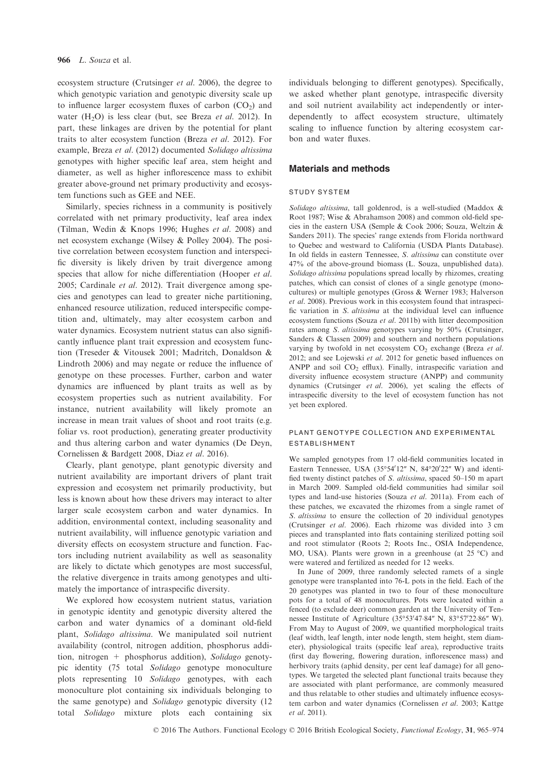ecosystem structure (Crutsinger et al. 2006), the degree to which genotypic variation and genotypic diversity scale up to influence larger ecosystem fluxes of carbon  $(CO<sub>2</sub>)$  and water  $(H<sub>2</sub>O)$  is less clear (but, see Breza *et al.* 2012). In part, these linkages are driven by the potential for plant traits to alter ecosystem function (Breza et al. 2012). For example, Breza et al. (2012) documented Solidago altissima genotypes with higher specific leaf area, stem height and diameter, as well as higher inflorescence mass to exhibit greater above-ground net primary productivity and ecosystem functions such as GEE and NEE.

Similarly, species richness in a community is positively correlated with net primary productivity, leaf area index (Tilman, Wedin & Knops 1996; Hughes et al. 2008) and net ecosystem exchange (Wilsey & Polley 2004). The positive correlation between ecosystem function and interspecific diversity is likely driven by trait divergence among species that allow for niche differentiation (Hooper et al. 2005; Cardinale et al. 2012). Trait divergence among species and genotypes can lead to greater niche partitioning, enhanced resource utilization, reduced interspecific competition and, ultimately, may alter ecosystem carbon and water dynamics. Ecosystem nutrient status can also significantly influence plant trait expression and ecosystem function (Treseder & Vitousek 2001; Madritch, Donaldson & Lindroth 2006) and may negate or reduce the influence of genotype on these processes. Further, carbon and water dynamics are influenced by plant traits as well as by ecosystem properties such as nutrient availability. For instance, nutrient availability will likely promote an increase in mean trait values of shoot and root traits (e.g. foliar vs. root production), generating greater productivity and thus altering carbon and water dynamics (De Deyn, Cornelissen & Bardgett 2008, Diaz et al. 2016).

Clearly, plant genotype, plant genotypic diversity and nutrient availability are important drivers of plant trait expression and ecosystem net primarily productivity, but less is known about how these drivers may interact to alter larger scale ecosystem carbon and water dynamics. In addition, environmental context, including seasonality and nutrient availability, will influence genotypic variation and diversity effects on ecosystem structure and function. Factors including nutrient availability as well as seasonality are likely to dictate which genotypes are most successful, the relative divergence in traits among genotypes and ultimately the importance of intraspecific diversity.

We explored how ecosystem nutrient status, variation in genotypic identity and genotypic diversity altered the carbon and water dynamics of a dominant old-field plant, Solidago altissima. We manipulated soil nutrient availability (control, nitrogen addition, phosphorus addition, nitrogen + phosphorus addition), Solidago genotypic identity (75 total Solidago genotype monoculture plots representing 10 Solidago genotypes, with each monoculture plot containing six individuals belonging to the same genotype) and Solidago genotypic diversity (12 total Solidago mixture plots each containing six

individuals belonging to different genotypes). Specifically, we asked whether plant genotype, intraspecific diversity and soil nutrient availability act independently or interdependently to affect ecosystem structure, ultimately scaling to influence function by altering ecosystem carbon and water fluxes.

## Materials and methods

#### STUDY SYSTEM

Solidago altissima, tall goldenrod, is a well-studied (Maddox & Root 1987; Wise & Abrahamson 2008) and common old-field species in the eastern USA (Semple & Cook 2006; Souza, Weltzin & Sanders 2011). The species' range extends from Florida northward to Quebec and westward to California (USDA Plants Database). In old fields in eastern Tennessee, S. altissima can constitute over 47% of the above-ground biomass (L. Souza, unpublished data). Solidago altissima populations spread locally by rhizomes, creating patches, which can consist of clones of a single genotype (monocultures) or multiple genotypes (Gross & Werner 1983; Halverson et al. 2008). Previous work in this ecosystem found that intraspecific variation in S. altissima at the individual level can influence ecosystem functions (Souza et al. 2011b) with litter decomposition rates among S. altissima genotypes varying by 50% (Crutsinger, Sanders & Classen 2009) and southern and northern populations varying by twofold in net ecosystem  $CO<sub>2</sub>$  exchange (Breza et al. 2012; and see Lojewski et al. 2012 for genetic based influences on ANPP and soil  $CO<sub>2</sub>$  efflux). Finally, intraspecific variation and diversity influence ecosystem structure (ANPP) and community dynamics (Crutsinger et al. 2006), yet scaling the effects of intraspecific diversity to the level of ecosystem function has not yet been explored.

## PLANT GENOTYPE COLLECTION AND EXPERIMENTAL ESTABLISHMENT

We sampled genotypes from 17 old-field communities located in Eastern Tennessee, USA  $(35^{\circ}54'12''$  N,  $84^{\circ}20'22''$  W) and identified twenty distinct patches of S. altissima, spaced 50–150 m apart in March 2009. Sampled old-field communities had similar soil types and land-use histories (Souza et al. 2011a). From each of these patches, we excavated the rhizomes from a single ramet of S. altissima to ensure the collection of 20 individual genotypes (Crutsinger et al. 2006). Each rhizome was divided into 3 cm pieces and transplanted into flats containing sterilized potting soil and root stimulator (Roots 2; Roots Inc., OSIA Independence, MO, USA). Plants were grown in a greenhouse (at 25 °C) and were watered and fertilized as needed for 12 weeks.

In June of 2009, three randomly selected ramets of a single genotype were transplanted into 76-L pots in the field. Each of the 20 genotypes was planted in two to four of these monoculture pots for a total of 48 monocultures. Pots were located within a fenced (to exclude deer) common garden at the University of Tennessee Institute of Agriculture  $(35^{\circ}53'47.84'' \text{ N}, 83^{\circ}57'22.86'' \text{ W})$ . From May to August of 2009, we quantified morphological traits (leaf width, leaf length, inter node length, stem height, stem diameter), physiological traits (specific leaf area), reproductive traits (first day flowering, flowering duration, inflorescence mass) and herbivory traits (aphid density, per cent leaf damage) for all genotypes. We targeted the selected plant functional traits because they are associated with plant performance, are commonly measured and thus relatable to other studies and ultimately influence ecosystem carbon and water dynamics (Cornelissen et al. 2003; Kattge et al. 2011).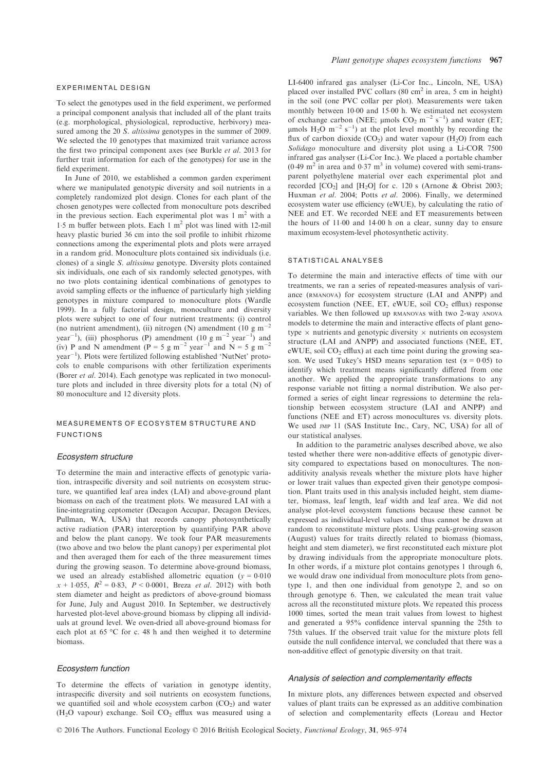#### EXPERIMENTAL DESIGN

To select the genotypes used in the field experiment, we performed a principal component analysis that included all of the plant traits (e.g. morphological, physiological, reproductive, herbivory) measured among the 20 S. *altissima* genotypes in the summer of 2009. We selected the 10 genotypes that maximized trait variance across the first two principal component axes (see Burkle et al. 2013 for further trait information for each of the genotypes) for use in the field experiment.

In June of 2010, we established a common garden experiment where we manipulated genotypic diversity and soil nutrients in a completely randomized plot design. Clones for each plant of the chosen genotypes were collected from monoculture pots described in the previous section. Each experimental plot was  $1 \text{ m}^2$  with a 1.5 m buffer between plots. Each 1  $m^2$  plot was lined with 12-mil heavy plastic buried 36 cm into the soil profile to inhibit rhizome connections among the experimental plots and plots were arrayed in a random grid. Monoculture plots contained six individuals (i.e. clones) of a single S. altissima genotype. Diversity plots contained six individuals, one each of six randomly selected genotypes, with no two plots containing identical combinations of genotypes to avoid sampling effects or the influence of particularly high yielding genotypes in mixture compared to monoculture plots (Wardle 1999). In a fully factorial design, monoculture and diversity plots were subject to one of four nutrient treatments: (i) control (no nutrient amendment), (ii) nitrogen (N) amendment (10 g m<sup>-2</sup> year<sup>-1</sup>), (iii) phosphorus (P) amendment (10 g m<sup>-2</sup> year<sup>-1</sup>) and (iv) P and N amendment (P = 5 g m<sup>-2</sup> year<sup>-1</sup> and N = 5 g m<sup>-2</sup> year<sup>-1</sup>). Plots were fertilized following established 'NutNet' protocols to enable comparisons with other fertilization experiments (Borer et al. 2014). Each genotype was replicated in two monoculture plots and included in three diversity plots for a total (N) of 80 monoculture and 12 diversity plots.

## MEASUREMENTS OF ECOSYSTEM STRUCTURE AND FUNCTIONS

#### Ecosystem structure

To determine the main and interactive effects of genotypic variation, intraspecific diversity and soil nutrients on ecosystem structure, we quantified leaf area index (LAI) and above-ground plant biomass on each of the treatment plots. We measured LAI with a line-integrating ceptometer (Decagon Accupar, Decagon Devices, Pullman, WA, USA) that records canopy photosynthetically active radiation (PAR) interception by quantifying PAR above and below the plant canopy. We took four PAR measurements (two above and two below the plant canopy) per experimental plot and then averaged them for each of the three measurement times during the growing season. To determine above-ground biomass, we used an already established allometric equation ( $y = 0.010$  $x + 1.055$ ,  $R^2 = 0.83$ ,  $P < 0.0001$ , Breza *et al.* 2012) with both stem diameter and height as predictors of above-ground biomass for June, July and August 2010. In September, we destructively harvested plot-level above-ground biomass by clipping all individuals at ground level. We oven-dried all above-ground biomass for each plot at 65 °C for c. 48 h and then weighed it to determine biomass.

#### Ecosystem function

To determine the effects of variation in genotype identity, intraspecific diversity and soil nutrients on ecosystem functions, we quantified soil and whole ecosystem carbon  $(CO<sub>2</sub>)$  and water (H<sub>2</sub>O vapour) exchange. Soil  $CO<sub>2</sub>$  efflux was measured using a

LI-6400 infrared gas analyser (Li-Cor Inc., Lincoln, NE, USA) placed over installed PVC collars  $(80 \text{ cm}^2 \text{ in area}, 5 \text{ cm in height})$ in the soil (one PVC collar per plot). Measurements were taken monthly between 10.00 and 15.00 h. We estimated net ecosystem of exchange carbon (NEE;  $\mu$ mols CO<sub>2</sub> m<sup>-2</sup> s<sup>-1</sup>) and water (ET;  $\mu$ mols H<sub>2</sub>O m<sup>-2</sup> s<sup>-1</sup>) at the plot level monthly by recording the flux of carbon dioxide  $(CO_2)$  and water vapour  $(H_2O)$  from each Solidago monoculture and diversity plot using a Li-COR 7500 infrared gas analyser (Li-Cor Inc.). We placed a portable chamber  $(0.49 \text{ m}^2 \text{ in area and } 0.37 \text{ m}^3 \text{ in volume})$  covered with semi-transparent polyethylene material over each experimental plot and recorded  $[CO_2]$  and  $[H_2O]$  for c. 120 s (Arnone & Obrist 2003; Huxman et al. 2004; Potts et al. 2006). Finally, we determined ecosystem water use efficiency (eWUE), by calculating the ratio of NEE and ET. We recorded NEE and ET measurements between the hours of 11-00 and 14-00 h on a clear, sunny day to ensure maximum ecosystem-level photosynthetic activity.

#### STATISTICAL ANALYSES

To determine the main and interactive effects of time with our treatments, we ran a series of repeated-measures analysis of variance (RMANOVA) for ecosystem structure (LAI and ANPP) and ecosystem function (NEE, ET, eWUE, soil  $CO<sub>2</sub>$  efflux) response variables. We then followed up RMANOVAs with two 2-way ANOVA models to determine the main and interactive effects of plant genotype  $\times$  nutrients and genotypic diversity  $\times$  nutrients on ecosystem structure (LAI and ANPP) and associated functions (NEE, ET, eWUE, soil  $CO<sub>2</sub>$  efflux) at each time point during the growing season. We used Tukey's HSD means separation test  $(\alpha = 0.05)$  to identify which treatment means significantly differed from one another. We applied the appropriate transformations to any response variable not fitting a normal distribution. We also performed a series of eight linear regressions to determine the relationship between ecosystem structure (LAI and ANPP) and functions (NEE and ET) across monocultures vs. diversity plots. We used JMP 11 (SAS Institute Inc., Cary, NC, USA) for all of our statistical analyses.

In addition to the parametric analyses described above, we also tested whether there were non-additive effects of genotypic diversity compared to expectations based on monocultures. The nonadditivity analysis reveals whether the mixture plots have higher or lower trait values than expected given their genotype composition. Plant traits used in this analysis included height, stem diameter, biomass, leaf length, leaf width and leaf area. We did not analyse plot-level ecosystem functions because these cannot be expressed as individual-level values and thus cannot be drawn at random to reconstitute mixture plots. Using peak-growing season (August) values for traits directly related to biomass (biomass, height and stem diameter), we first reconstituted each mixture plot by drawing individuals from the appropriate monoculture plots. In other words, if a mixture plot contains genotypes 1 through 6, we would draw one individual from monoculture plots from genotype 1, and then one individual from genotype 2, and so on through genotype 6. Then, we calculated the mean trait value across all the reconstituted mixture plots. We repeated this process 1000 times, sorted the mean trait values from lowest to highest and generated a 95% confidence interval spanning the 25th to 75th values. If the observed trait value for the mixture plots fell outside the null confidence interval, we concluded that there was a non-additive effect of genotypic diversity on that trait.

#### Analysis of selection and complementarity effects

In mixture plots, any differences between expected and observed values of plant traits can be expressed as an additive combination of selection and complementarity effects (Loreau and Hector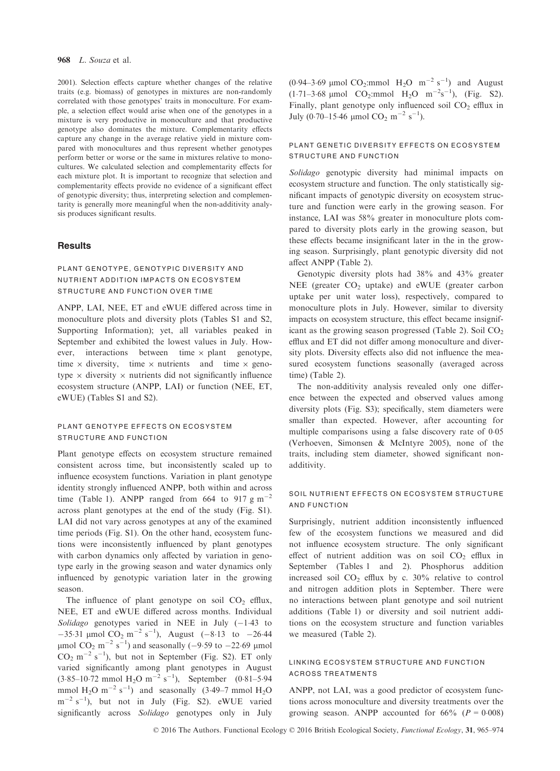#### 968 L. Souza et al.

2001). Selection effects capture whether changes of the relative traits (e.g. biomass) of genotypes in mixtures are non-randomly correlated with those genotypes' traits in monoculture. For example, a selection effect would arise when one of the genotypes in a mixture is very productive in monoculture and that productive genotype also dominates the mixture. Complementarity effects capture any change in the average relative yield in mixture compared with monocultures and thus represent whether genotypes perform better or worse or the same in mixtures relative to monocultures. We calculated selection and complementarity effects for each mixture plot. It is important to recognize that selection and complementarity effects provide no evidence of a significant effect of genotypic diversity; thus, interpreting selection and complementarity is generally more meaningful when the non-additivity analysis produces significant results.

## **Results**

## PLANT GENOTYPE, GENOTYPIC DIVERSITY AND NUTRIENT ADDITION IMPACTS ON ECOSYSTEM STRUCTURE AND FUNCTION OVER TIME

ANPP, LAI, NEE, ET and eWUE differed across time in monoculture plots and diversity plots (Tables S1 and S2, Supporting Information); yet, all variables peaked in September and exhibited the lowest values in July. However, interactions between time  $\times$  plant genotype, time  $\times$  diversity, time  $\times$  nutrients and time  $\times$  genotype  $\times$  diversity  $\times$  nutrients did not significantly influence ecosystem structure (ANPP, LAI) or function (NEE, ET, eWUE) (Tables S1 and S2).

## PLANT GENOTYPE EFFECTS ON ECOSYSTEM STRUCTURE AND FUNCTION

Plant genotype effects on ecosystem structure remained consistent across time, but inconsistently scaled up to influence ecosystem functions. Variation in plant genotype identity strongly influenced ANPP, both within and across time (Table 1). ANPP ranged from 664 to 917 g m<sup>-2</sup> across plant genotypes at the end of the study (Fig. S1). LAI did not vary across genotypes at any of the examined time periods (Fig. S1). On the other hand, ecosystem functions were inconsistently influenced by plant genotypes with carbon dynamics only affected by variation in genotype early in the growing season and water dynamics only influenced by genotypic variation later in the growing season.

The influence of plant genotype on soil  $CO<sub>2</sub>$  efflux, NEE, ET and eWUE differed across months. Individual Solidago genotypes varied in NEE in July  $(-1.43)$  to  $-35.31 \text{ }\mu\text{mol} \text{ } CO_2 \text{ }^{\text{}}\text{m}^{-2} \text{ s}^{-1}$ , August  $(-8.13 \text{ to } -26.44$  $\mu$ mol CO<sub>2</sub> m<sup>-2</sup> s<sup>-1</sup>) and seasonally (-9.59 to -22.69  $\mu$ mol  $CO_2$  m<sup>-2</sup> s<sup>-1</sup>), but not in September (Fig. S2). ET only varied significantly among plant genotypes in August  $(3.85-10.72 \text{ mmol H}_2\text{O m}^{-2} \text{ s}^{-1})$ , September  $(0.81-5.94$ mmol  $H_2O$  m<sup>-2</sup> s<sup>-1</sup>) and seasonally (3-49–7 mmol  $H_2O$  $m^{-2}$  s<sup>-1</sup>), but not in July (Fig. S2). eWUE varied significantly across Solidago genotypes only in July  $(0.94-3.69 \mu \text{mol } CO_2$ :mmol  $H_2O \text{ m}^{-2} \text{ s}^{-1}$  and August  $(1.71-3.68 \text{ \mu mol } CO_2$ :mmol  $H_2O \text{ m}^{-2} \text{s}^{-1}$ ), (Fig. S2). Finally, plant genotype only influenced soil  $CO<sub>2</sub>$  efflux in July (0.70–15.46  $\mu$ mol CO<sub>2</sub> m<sup>-2</sup> s<sup>-1</sup>).

## PLANT GENETIC DIVERSITY EFFECTS ON ECOSYSTEM STRUCTURE AND FUNCTION

Solidago genotypic diversity had minimal impacts on ecosystem structure and function. The only statistically significant impacts of genotypic diversity on ecosystem structure and function were early in the growing season. For instance, LAI was 58% greater in monoculture plots compared to diversity plots early in the growing season, but these effects became insignificant later in the in the growing season. Surprisingly, plant genotypic diversity did not affect ANPP (Table 2).

Genotypic diversity plots had 38% and 43% greater NEE (greater  $CO<sub>2</sub>$  uptake) and eWUE (greater carbon uptake per unit water loss), respectively, compared to monoculture plots in July. However, similar to diversity impacts on ecosystem structure, this effect became insignificant as the growing season progressed (Table 2). Soil  $CO<sub>2</sub>$ efflux and ET did not differ among monoculture and diversity plots. Diversity effects also did not influence the measured ecosystem functions seasonally (averaged across time) (Table 2).

The non-additivity analysis revealed only one difference between the expected and observed values among diversity plots (Fig. S3); specifically, stem diameters were smaller than expected. However, after accounting for multiple comparisons using a false discovery rate of 0-05 (Verhoeven, Simonsen & McIntyre 2005), none of the traits, including stem diameter, showed significant nonadditivity.

## SOIL NUTRIENT EFFECTS ON ECOSYSTEM STRUCTURE AND FUNCTION

Surprisingly, nutrient addition inconsistently influenced few of the ecosystem functions we measured and did not influence ecosystem structure. The only significant effect of nutrient addition was on soil  $CO<sub>2</sub>$  efflux in September (Tables 1 and 2). Phosphorus addition increased soil  $CO<sub>2</sub>$  efflux by c. 30% relative to control and nitrogen addition plots in September. There were no interactions between plant genotype and soil nutrient additions (Table 1) or diversity and soil nutrient additions on the ecosystem structure and function variables we measured (Table 2).

## LINKING ECOSYSTEM STRUCTURE AND FUNCTION ACROSS TREATMENTS

ANPP, not LAI, was a good predictor of ecosystem functions across monoculture and diversity treatments over the growing season. ANPP accounted for  $66\%$  ( $P = 0.008$ )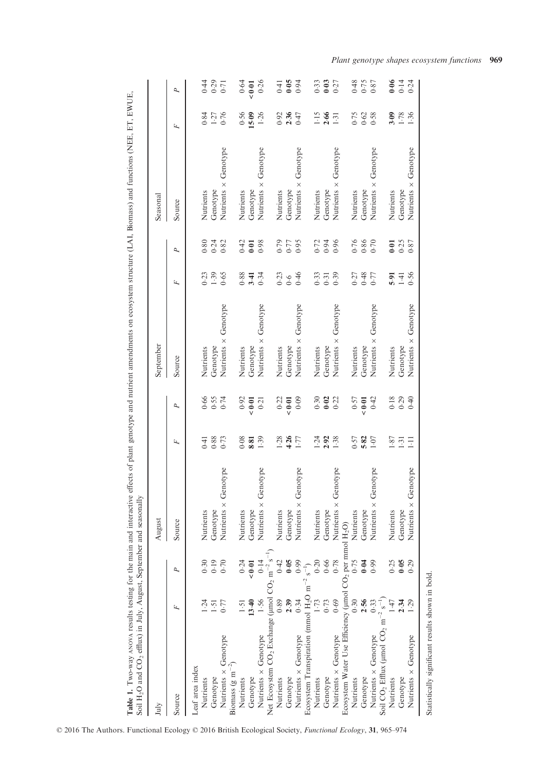| Soil H <sub>2</sub> O and CO <sub>2</sub> efflux) in July, August, September and seasonall     |            |      | ⋋                       |       |                  |                             |                |                  |                             |                 |                    |
|------------------------------------------------------------------------------------------------|------------|------|-------------------------|-------|------------------|-----------------------------|----------------|------------------|-----------------------------|-----------------|--------------------|
| July                                                                                           |            |      | August                  |       |                  | September                   |                |                  | Seasonal                    |                 |                    |
| Source                                                                                         | Ŀ,         | P    | Source                  | F     | P                | Source                      | Ŀ,             | P                | Source                      | F               | P                  |
| Leaf area index                                                                                |            |      |                         |       |                  |                             |                |                  |                             |                 |                    |
| Nutrients                                                                                      | $\ddot{5}$ | 0.30 | Nutrients               | 0.41  |                  | Nutrients                   | 0.23           | 0.80             | Nutrients                   | 0.84            |                    |
| Genotype                                                                                       | 1.51       | 0.19 | Genotype                | 0.88  | 9574<br>959      | Genotype                    | 1.39           |                  | Genotype                    | 1.27            | $0.500$<br>$4.801$ |
| Nutrients x Genotype<br>Biomass (g m <sup><math>-2</math></sup> )                              | 0.77       | 0.70 | Genotype<br>Nutrients × | 0.73  |                  | Nutrients $\times$ Genotype | 0.65           | $0.24$<br>$0.82$ | Nutrients × Genotype        | 0.76            |                    |
| Nutrients                                                                                      | 1.51       | 0.24 | Nutrients               | 0.08  | 0.92             | Nutrients                   | 0.88           | 0.42             | Nutrients                   | 0.56            | 0.64               |
| Genotype                                                                                       | 13.40      | 0.01 | Genotype                | 8.81  | < 0.01           | Genotype                    | 3.41           | 0.01             | Genotype                    | 15.09           | 0.01               |
| Nutrients x Genotype                                                                           | 1.56       | 0.14 | Genotype<br>Nutrients × | 1.39  | 0.21             | Genotype<br>Nutrients ×     | 0.34           | 0.98             | Nutrients x Genotype        | 1.26            | 0.26               |
| Net Ecosystem CO <sub>2</sub> Exchange (µmol CO <sub>2</sub> m <sup>-2</sup> s <sup>-1</sup> ) |            |      |                         |       |                  |                             |                |                  |                             |                 |                    |
| Nutrients                                                                                      | 0.89       | 0.42 | Nutrients               | 1.28  | 0.22             | Nutrients                   |                | 0.79             | Nutrients                   | 0.92            | 0.41               |
| Genotype                                                                                       | 2.39       | 0.05 | Genotype                | 4.26  | ${}_{0.01}$      | Genotype                    | 0.23           | $0.77$<br>0.95   | Genotype                    | 2.36            | 6.06               |
| Nutrients x Genotype                                                                           | 0.34       | 0.99 | Genotype<br>Nutrients × | 1.77  | 0.09             | Nutrients × Genotype        | 0.46           |                  | Nutrients × Genotype        | 0.47            |                    |
| Ecosystem Transpiration (mmol $H_2O$ m <sup>-2</sup>                                           |            |      |                         |       |                  |                             |                |                  |                             |                 |                    |
| Nutrients                                                                                      | 1.73       |      | Nutrients               | 1.24  | 0.30             | Nutrients                   | 0.33           | 0.72             | Nutrients                   | 1.15            | 0.33               |
| Genotype                                                                                       | 0.73       | 0.66 | Genotype                | 2.92  | $0.02$<br>$0.22$ | Genotype                    | 0.31           | 0.94             | Genotype                    | 2.66            | $0.03$<br>0.27     |
| Nutrients x Genotype                                                                           | 0.69       | 0.78 | Genotype<br>Nutrients × | 1.38  |                  | Nutrients × Genotype        | 0.39           | 0.96             | Nutrients × Genotype        | $1\overline{3}$ |                    |
| Ecosystem Water Use Efficiency (umol CO <sub>2</sub> per mmol H <sub>2</sub> O)                |            |      |                         |       |                  |                             |                |                  |                             |                 |                    |
| Nutrients                                                                                      | 0.30       | 0.75 | Nutrients               | 0.57  | 0.57             | Nutrients                   |                |                  | Nutrients                   | 0.75            | 0.48               |
| Genotype                                                                                       | 2.56       | 0.04 | Genotype                | 5.82  | ${}_{0.01}$      | Genotype                    | $0.27$<br>0.48 | 0.76<br>0.86     | Genotype                    | 0.62            | $0.75$<br>0.87     |
| Soil $CO_2$ Efflux (µmol $CO_2$ m <sup>-2</sup> s <sup>-1</sup> )<br>Nutrients x Genotype      | 0.33       | 0.99 | Genotype<br>Nutrients × | 1.07  | 0.42             | Genotype<br>Nutrients ×     | 0.77           | 0.70             | Nutrients $\times$ Genotype | 0.58            |                    |
| Nutrients                                                                                      | 147        | 0.25 | Nutrients               | 1.87  | 0.18             | Nutrients                   | 5.91           | $\overline{0}$   | Nutrients                   | 3.09            | 0.06               |
| Genotype                                                                                       | 2.34       | 0.05 | Genotype                | 1:31  | $0.29$<br>0.40   | Genotype                    | $1-41$         | 0.25             | Genotype                    | 1.78            | $0.14$<br>0.24     |
| Nutrients x Genotype                                                                           | $05 - 1$   | 0.29 | Genotype<br>Nutrients × | $\Xi$ |                  | Genotype<br>Nutrients ×     | 0.56           | 0.87             | Nutrients x Genotype        | 1.36            |                    |

Plant genotype shapes ecosystem functions 969

Statistically significant results shown in bold.

Statistically significant results shown in bold.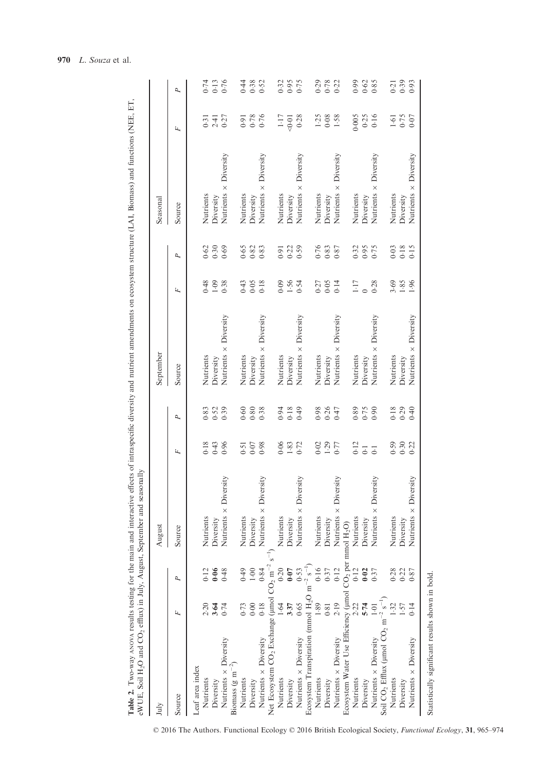| July                                                                                                 |                  |      | August                       |                    |           | September                    |                |      | Seasonal                     |                   |      |
|------------------------------------------------------------------------------------------------------|------------------|------|------------------------------|--------------------|-----------|------------------------------|----------------|------|------------------------------|-------------------|------|
| Source                                                                                               | Ŀ,               | P    | Source                       | Ŀ,                 | P         | Source                       | F              | P    | Source                       | F                 | P    |
| Leaf area index                                                                                      |                  |      |                              |                    |           |                              |                |      |                              |                   |      |
| Nutrients                                                                                            | 2.20             | 0.12 | Nutrients                    | 0.18               | 0.83      | Nutrients                    | 0.48           | 0.62 | Nutrients                    | $\overline{0}$ :0 | 0.74 |
| Diversity                                                                                            | 3.64             | 0.06 | Diversity                    | 0.43               | 0.52      | Diversity                    | 1.09           | 0.30 | Diversity                    | 2.41              | 0.13 |
| Nutrients x Diversity                                                                                | 0.74             | 0.48 | Nutrients $\times$ Diversity | 0.96               | 0.39      | Nutrients $\times$ Diversity | 0.38           | 0.69 | Nutrients × Diversity        | 0.27              | 0.76 |
| Biomass (g m <sup>-2</sup> )                                                                         |                  |      |                              |                    |           |                              |                |      |                              |                   |      |
| Nutrients                                                                                            | 0.73             | 0.49 | Nutrients                    | 0.51               | 0.60      | Nutrients                    | 0.43           | 0.65 | Nutrients                    | 0.91              | 0.44 |
| Diversity                                                                                            | 0.00             | 1.00 | Diversity                    | 0.07               | 0.80      | Diversity                    | 0.05           | 0.82 | Diversity                    | 0.78              | 0.38 |
| Nutrients × Diversity                                                                                | 0.18             | 0.84 | Nutrients x Diversity        | 0.98               | 0.38      | Nutrients $\times$ Diversity | 0.18           | 0.83 | Nutrients × Diversity        | 0.76              | 0.52 |
| Net Ecosystem CO <sub>2</sub> Exchange ( $\mu$ mol CO <sub>2</sub> m <sup>-2</sup> s <sup>-1</sup> ) |                  |      |                              |                    |           |                              |                |      |                              |                   |      |
| Nutrients                                                                                            | 1.64             | 0.20 | Nutrients                    | 0.06               | 0.94      | Nutrients                    | 0.09           | 0.91 | Nutrients                    | 1.17              | 0.32 |
| Diversity                                                                                            | 3.37             | 0.07 | Diversity                    | 1.83               | 0.18      | Diversity                    | 1.56           | 0.22 | Diversity                    | 0.01              | 0.95 |
| Nutrients x Diversity                                                                                | 0.65             | 0.53 | Nutrients × Diversity        | 0.72               | $(6 + 0)$ | Nutrients $\times$ Diversity | 0.54           | 0.59 | Nutrients × Diversity        | 0.28              | 0.75 |
| Ecosystem Transpiration (mmol H <sub>2</sub> O m <sup>-2</sup> s <sup>-1</sup> )                     |                  |      |                              |                    |           |                              |                |      |                              |                   |      |
| Nutrients                                                                                            | $^{89}$          | 0.16 | Nutrients                    | 0.02               | 0.98      | Nutrients                    | 0.27           | 0.76 | Nutrients                    | 1.25              | 0.29 |
| Diversity                                                                                            | 0.81             | 0.37 | Diversity                    | 1.29               | 0.26      | Diversity                    | 0.05           | 0.83 | Diversity                    | 0.08              | 0.78 |
| Nutrients × Diversity                                                                                | 2.19             | 0.12 | Diversity<br>Nutrients ×     | 0.77               | 0.47      | Nutrients $\times$ Diversity | 0.14           | 0.87 | Nutrients $\times$ Diversity | 1.58              | 0.22 |
| Ecosystem Water Use Efficiency (µmol                                                                 |                  |      | $CO2$ per mmol $H2O$ )       |                    |           |                              |                |      |                              |                   |      |
| Nutrients                                                                                            | 2.22             | 0.12 | Nutrients                    | 0.12               | 0.89      | Nutrients                    | 1.17           | 0.32 | Nutrients                    | 0.005             | 66.0 |
| Diversity                                                                                            | 5.74             | 0.02 | Diversity                    | $\overline{0}$ : 0 | 0.75      | Diversity                    | $\overline{0}$ | 0.95 | Diversity                    | 0.25              | 0.62 |
| Nutrients × Diversity                                                                                | $\overline{101}$ | 0.37 | Diversity<br>Nutrients ×     | $\overline{C}$     | 0.90      | Nutrients $\times$ Diversity | 0.28           | 0.75 | Nutrients × Diversity        | 0.16              | 0.85 |
| Soil CO <sub>2</sub> Efflux (µmol CO <sub>2</sub> m <sup>-2</sup> s <sup>-1</sup> )                  |                  |      |                              |                    |           |                              |                |      |                              |                   |      |
| Nutrients                                                                                            | ë.               | 0.28 | Nutrients                    | 0.59               | 0.18      | Nutrients                    | 3.69           | 0.03 | Nutrients                    | 1.61              | 0.21 |
| Diversity                                                                                            | 1.57             | 0.22 | Diversity                    | 0.30               | 0.29      | Diversity                    | 1.85           | 0.18 | Diversity                    | 0.75              | 0.39 |
| Nutrients x Diversity                                                                                | 0.14             | 0.87 | Nutrients $\times$ Diversity | 0.22               | 0.40      | Nutrients $\times$ Diversity | 1.96           | 0.15 | Nutrients x Diversity        | 0.07              | 0.93 |
|                                                                                                      |                  |      |                              |                    |           |                              |                |      |                              |                   |      |

© 2016 The Authors. Functional Ecology © 2016 British Ecological Society, Functional Ecology, 31, 965–974

Statistically significant results shown in bold.

Statistically significant results shown in bold.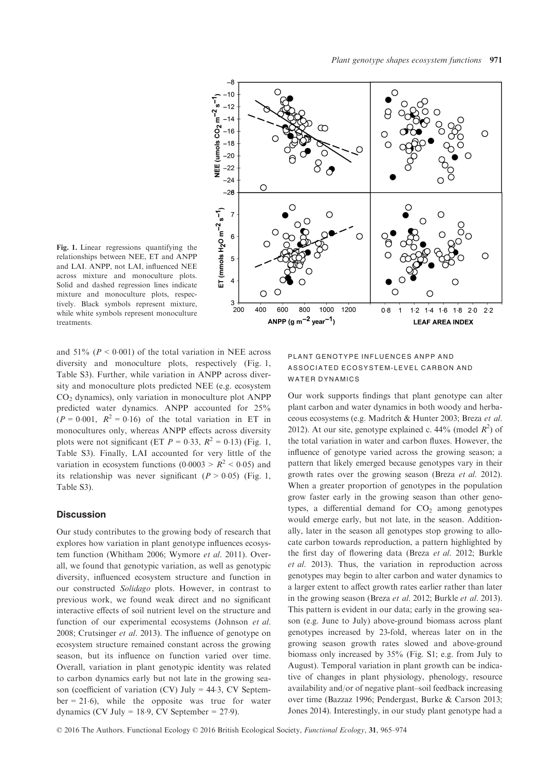

Fig. 1. Linear regressions quantifying the relationships between NEE, ET and ANPP and LAI. ANPP, not LAI, influenced NEE across mixture and monoculture plots. Solid and dashed regression lines indicate mixture and monoculture plots, respectively. Black symbols represent mixture, while white symbols represent monoculture treatments.

and  $51\%$  ( $P < 0.001$ ) of the total variation in NEE across diversity and monoculture plots, respectively (Fig. 1, Table S3). Further, while variation in ANPP across diversity and monoculture plots predicted NEE (e.g. ecosystem CO2 dynamics), only variation in monoculture plot ANPP predicted water dynamics. ANPP accounted for 25%  $(P = 0.001, R^2 = 0.16)$  of the total variation in ET in monocultures only, whereas ANPP effects across diversity plots were not significant (ET  $P = 0.33$ ,  $R^2 = 0.13$ ) (Fig. 1, Table S3). Finally, LAI accounted for very little of the variation in ecosystem functions  $(0.0003 > R^2 < 0.05)$  and its relationship was never significant  $(P > 0.05)$  (Fig. 1, Table S3).

## **Discussion**

Our study contributes to the growing body of research that explores how variation in plant genotype influences ecosystem function (Whitham 2006; Wymore et al. 2011). Overall, we found that genotypic variation, as well as genotypic diversity, influenced ecosystem structure and function in our constructed Solidago plots. However, in contrast to previous work, we found weak direct and no significant interactive effects of soil nutrient level on the structure and function of our experimental ecosystems (Johnson et al. 2008; Crutsinger et al. 2013). The influence of genotype on ecosystem structure remained constant across the growing season, but its influence on function varied over time. Overall, variation in plant genotypic identity was related to carbon dynamics early but not late in the growing season (coefficient of variation (CV) July = 44-3, CV September = 21-6), while the opposite was true for water dynamics (CV July =  $18.9$ , CV September =  $27.9$ ).

# PLANT GENOTYPE INFLUENCES ANPP AND ASSOCIATED ECOSYSTEM-LEVEL CARBON AND WATER DYNAMICS

Our work supports findings that plant genotype can alter plant carbon and water dynamics in both woody and herbaceous ecosystems (e.g. Madritch & Hunter 2003; Breza et al. 2012). At our site, genotype explained c. 44% (model  $R^2$ ) of the total variation in water and carbon fluxes. However, the influence of genotype varied across the growing season; a pattern that likely emerged because genotypes vary in their growth rates over the growing season (Breza et al. 2012). When a greater proportion of genotypes in the population grow faster early in the growing season than other genotypes, a differential demand for  $CO<sub>2</sub>$  among genotypes would emerge early, but not late, in the season. Additionally, later in the season all genotypes stop growing to allocate carbon towards reproduction, a pattern highlighted by the first day of flowering data (Breza et al. 2012; Burkle et al. 2013). Thus, the variation in reproduction across genotypes may begin to alter carbon and water dynamics to a larger extent to affect growth rates earlier rather than later in the growing season (Breza et al. 2012; Burkle et al. 2013). This pattern is evident in our data; early in the growing season (e.g. June to July) above-ground biomass across plant genotypes increased by 23-fold, whereas later on in the growing season growth rates slowed and above-ground biomass only increased by 35% (Fig. S1; e.g. from July to August). Temporal variation in plant growth can be indicative of changes in plant physiology, phenology, resource availability and/or of negative plant–soil feedback increasing over time (Bazzaz 1996; Pendergast, Burke & Carson 2013; Jones 2014). Interestingly, in our study plant genotype had a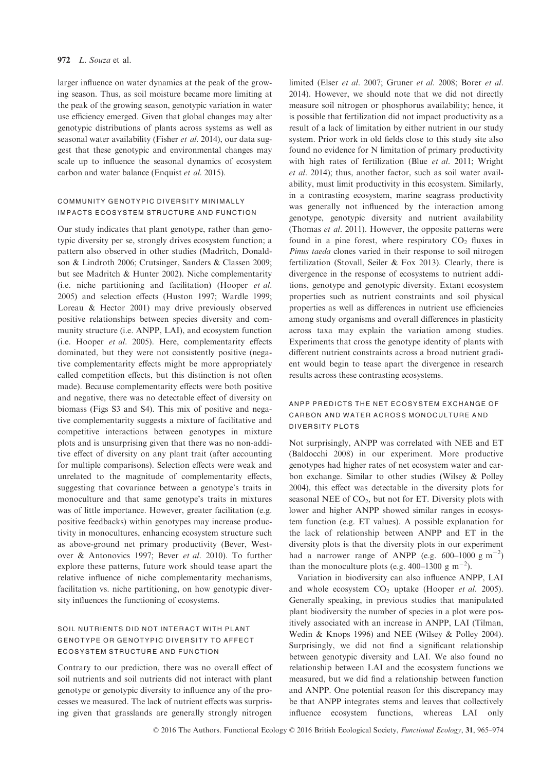## 972 L. Souza et al.

larger influence on water dynamics at the peak of the growing season. Thus, as soil moisture became more limiting at the peak of the growing season, genotypic variation in water use efficiency emerged. Given that global changes may alter genotypic distributions of plants across systems as well as seasonal water availability (Fisher et al. 2014), our data suggest that these genotypic and environmental changes may scale up to influence the seasonal dynamics of ecosystem carbon and water balance (Enquist et al. 2015).

## COMMUNITY GENOTYPIC DIVERSITY MINIMALLY IMPACTS ECOSYSTEM STRUCTURE AND FUNCTION

Our study indicates that plant genotype, rather than genotypic diversity per se, strongly drives ecosystem function; a pattern also observed in other studies (Madritch, Donaldson & Lindroth 2006; Crutsinger, Sanders & Classen 2009; but see Madritch & Hunter 2002). Niche complementarity (i.e. niche partitioning and facilitation) (Hooper et al. 2005) and selection effects (Huston 1997; Wardle 1999; Loreau & Hector 2001) may drive previously observed positive relationships between species diversity and community structure (i.e. ANPP, LAI), and ecosystem function (i.e. Hooper et al. 2005). Here, complementarity effects dominated, but they were not consistently positive (negative complementarity effects might be more appropriately called competition effects, but this distinction is not often made). Because complementarity effects were both positive and negative, there was no detectable effect of diversity on biomass (Figs S3 and S4). This mix of positive and negative complementarity suggests a mixture of facilitative and competitive interactions between genotypes in mixture plots and is unsurprising given that there was no non-additive effect of diversity on any plant trait (after accounting for multiple comparisons). Selection effects were weak and unrelated to the magnitude of complementarity effects, suggesting that covariance between a genotype's traits in monoculture and that same genotype's traits in mixtures was of little importance. However, greater facilitation (e.g. positive feedbacks) within genotypes may increase productivity in monocultures, enhancing ecosystem structure such as above-ground net primary productivity (Bever, Westover & Antonovics 1997; Bever et al. 2010). To further explore these patterns, future work should tease apart the relative influence of niche complementarity mechanisms, facilitation vs. niche partitioning, on how genotypic diversity influences the functioning of ecosystems.

## SOIL NUTRIENTS DID NOT INTERACT WITH PLANT GENOTYPE OR GENOTYPIC DIVERSITY TO AFFECT ECOSYSTEM STRUCTURE AND FUNCTION

Contrary to our prediction, there was no overall effect of soil nutrients and soil nutrients did not interact with plant genotype or genotypic diversity to influence any of the processes we measured. The lack of nutrient effects was surprising given that grasslands are generally strongly nitrogen

limited (Elser et al. 2007; Gruner et al. 2008; Borer et al. 2014). However, we should note that we did not directly measure soil nitrogen or phosphorus availability; hence, it is possible that fertilization did not impact productivity as a result of a lack of limitation by either nutrient in our study system. Prior work in old fields close to this study site also found no evidence for N limitation of primary productivity with high rates of fertilization (Blue et al. 2011; Wright et al. 2014); thus, another factor, such as soil water availability, must limit productivity in this ecosystem. Similarly, in a contrasting ecosystem, marine seagrass productivity was generally not influenced by the interaction among genotype, genotypic diversity and nutrient availability (Thomas et al. 2011). However, the opposite patterns were found in a pine forest, where respiratory  $CO<sub>2</sub>$  fluxes in Pinus taeda clones varied in their response to soil nitrogen fertilization (Stovall, Seiler & Fox 2013). Clearly, there is divergence in the response of ecosystems to nutrient additions, genotype and genotypic diversity. Extant ecosystem properties such as nutrient constraints and soil physical properties as well as differences in nutrient use efficiencies among study organisms and overall differences in plasticity across taxa may explain the variation among studies. Experiments that cross the genotype identity of plants with different nutrient constraints across a broad nutrient gradient would begin to tease apart the divergence in research results across these contrasting ecosystems.

# ANPP PREDICTS THE NET ECOSYSTEM EXCHANGE OF CARBON AND WATER ACROSS MONOCULTURE AND DIVERSITY PLOTS

Not surprisingly, ANPP was correlated with NEE and ET (Baldocchi 2008) in our experiment. More productive genotypes had higher rates of net ecosystem water and carbon exchange. Similar to other studies (Wilsey & Polley 2004), this effect was detectable in the diversity plots for seasonal NEE of  $CO<sub>2</sub>$ , but not for ET. Diversity plots with lower and higher ANPP showed similar ranges in ecosystem function (e.g. ET values). A possible explanation for the lack of relationship between ANPP and ET in the diversity plots is that the diversity plots in our experiment had a narrower range of ANPP (e.g. 600–1000 g m<sup>-2</sup>) than the monoculture plots (e.g. 400–1300 g m<sup>-2</sup>).

Variation in biodiversity can also influence ANPP, LAI and whole ecosystem  $CO<sub>2</sub>$  uptake (Hooper *et al.* 2005). Generally speaking, in previous studies that manipulated plant biodiversity the number of species in a plot were positively associated with an increase in ANPP, LAI (Tilman, Wedin & Knops 1996) and NEE (Wilsey & Polley 2004). Surprisingly, we did not find a significant relationship between genotypic diversity and LAI. We also found no relationship between LAI and the ecosystem functions we measured, but we did find a relationship between function and ANPP. One potential reason for this discrepancy may be that ANPP integrates stems and leaves that collectively influence ecosystem functions, whereas LAI only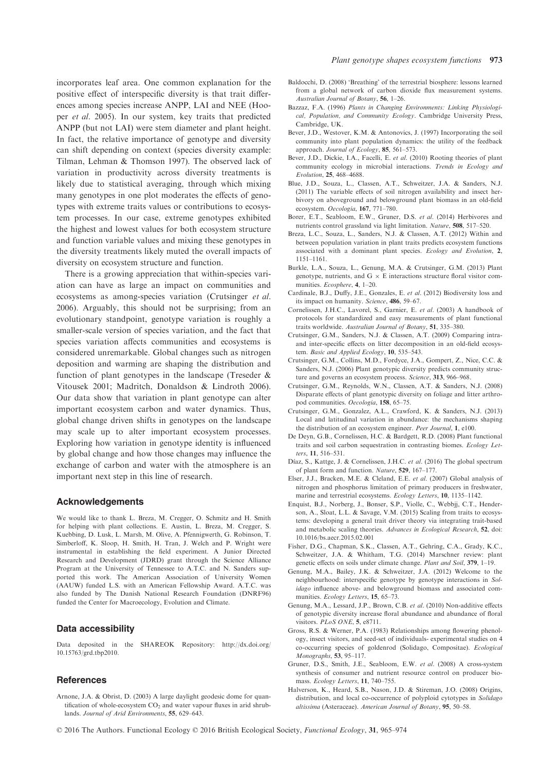incorporates leaf area. One common explanation for the positive effect of interspecific diversity is that trait differences among species increase ANPP, LAI and NEE (Hooper et al. 2005). In our system, key traits that predicted ANPP (but not LAI) were stem diameter and plant height. In fact, the relative importance of genotype and diversity can shift depending on context (species diversity example: Tilman, Lehman & Thomson 1997). The observed lack of variation in productivity across diversity treatments is likely due to statistical averaging, through which mixing many genotypes in one plot moderates the effects of genotypes with extreme traits values or contributions to ecosystem processes. In our case, extreme genotypes exhibited the highest and lowest values for both ecosystem structure and function variable values and mixing these genotypes in the diversity treatments likely muted the overall impacts of diversity on ecosystem structure and function.

There is a growing appreciation that within-species variation can have as large an impact on communities and ecosystems as among-species variation (Crutsinger et al. 2006). Arguably, this should not be surprising; from an evolutionary standpoint, genotype variation is roughly a smaller-scale version of species variation, and the fact that species variation affects communities and ecosystems is considered unremarkable. Global changes such as nitrogen deposition and warming are shaping the distribution and function of plant genotypes in the landscape (Treseder & Vitousek 2001; Madritch, Donaldson & Lindroth 2006). Our data show that variation in plant genotype can alter important ecosystem carbon and water dynamics. Thus, global change driven shifts in genotypes on the landscape may scale up to alter important ecosystem processes. Exploring how variation in genotype identity is influenced by global change and how those changes may influence the exchange of carbon and water with the atmosphere is an important next step in this line of research.

#### Acknowledgements

We would like to thank L. Breza, M. Cregger, O. Schmitz and H. Smith for helping with plant collections. E. Austin, L. Breza, M. Cregger, S. Kuebbing, D. Lusk, L. Marsh, M. Olive, A. Pfennigwerth, G. Robinson, T. Simberloff, K. Sloop, H. Smith, H. Tran, J. Welch and P. Wright were instrumental in establishing the field experiment. A Junior Directed Research and Development (JDRD) grant through the Science Alliance Program at the University of Tennessee to A.T.C. and N. Sanders supported this work. The American Association of University Women (AAUW) funded L.S. with an American Fellowship Award. A.T.C. was also funded by The Danish National Research Foundation (DNRF96) funded the Center for Macroecology, Evolution and Climate.

#### Data accessibility

Data deposited in the SHAREOK Repository: [http://dx.doi.org/](http://dx.doi.org/10.15763/grd.tbp2010) [10.15763/grd.tbp2010.](http://dx.doi.org/10.15763/grd.tbp2010)

#### **References**

Arnone, J.A. & Obrist, D. (2003) A large daylight geodesic dome for quantification of whole-ecosystem  $CO<sub>2</sub>$  and water vapour fluxes in arid shrublands. Journal of Arid Environments, 55, 629–643.

- Baldocchi, D. (2008) 'Breathing' of the terrestrial biosphere: lessons learned from a global network of carbon dioxide flux measurement systems. Australian Journal of Botany, 56, 1–26.
- Bazzaz, F.A. (1996) Plants in Changing Environments: Linking Physiological, Population, and Community Ecology. Cambridge University Press, Cambridge, UK.
- Bever, J.D., Westover, K.M. & Antonovics, J. (1997) Incorporating the soil community into plant population dynamics: the utility of the feedback approach. Journal of Ecology, 85, 561–573.
- approach. Journal of Ecology, 85, 561–573.<br>Bever, J.D., Dickie, I.A., Facelli, E. et al. (2010) Rooting theories of plant community ecology in microbial interactions. Trends in Ecology and Evolution, 25, 468–4688.
- Blue, J.D., Souza, L., Classen, A.T., Schweitzer, J.A. & Sanders, N.J. (2011) The variable effects of soil nitrogen availability and insect herbivory on aboveground and belowground plant biomass in an old-field ecosystem. Oecologia, 167, 771–780.
- Borer, E.T., Seabloom, E.W., Gruner, D.S. et al. (2014) Herbivores and nutrients control grassland via light limitation. Nature, 508, 517–520.
- Breza, L.C., Souza, L., Sanders, N.J. & Classen, A.T. (2012) Within and between population variation in plant traits predicts ecosystem functions associated with a dominant plant species. Ecology and Evolution, 2, 1151–1161.
- Burkle, L.A., Souza, L., Genung, M.A. & Crutsinger, G.M. (2013) Plant genotype, nutrients, and G  $\times$  E interactions structure floral visitor communities. Ecosphere, 4, 1–20.
- Cardinale, B.J., Duffy, J.E., Gonzales, E. et al. (2012) Biodiversity loss and its impact on humanity. Science, 486, 59–67.
- Cornelissen, J.H.C., Lavorel, S., Garnier, E. et al. (2003) A handbook of protocols for standardized and easy measurements of plant functional traits worldwide. Australian Journal of Botany, 51, 335–380.
- Crutsinger, G.M., Sanders, N.J. & Classen, A.T. (2009) Comparing intraand inter-specific effects on litter decomposition in an old-field ecosystem. Basic and Applied Ecology, 10, 535-543.
- Crutsinger, G.M., Collins, M.D., Fordyce, J.A., Gompert, Z., Nice, C.C. & Sanders, N.J. (2006) Plant genotypic diversity predicts community structure and governs an ecosystem process. Science, 313, 966-968.
- Crutsinger, G.M., Reynolds, W.N., Classen, A.T. & Sanders, N.J. (2008) Disparate effects of plant genotypic diversity on foliage and litter arthropod communities. Oecologia, 158, 65–75.
- Crutsinger, G.M., Gonzalez, A.L., Crawford, K. & Sanders, N.J. (2013) Local and latitudinal variation in abundance: the mechanisms shaping the distribution of an ecosystem engineer. Peer Journal, 1, e100.
- De Deyn, G.B., Cornelissen, H.C. & Bardgett, R.D. (2008) Plant functional traits and soil carbon sequestration in contrasting biomes. Ecology Letters, 11, 516–531.
- Díaz, S., Kattge, J. & Cornelissen, J.H.C. et al. (2016) The global spectrum of plant form and function. Nature, 529, 167–177.
- Elser, J.J., Bracken, M.E. & Cleland, E.E. et al. (2007) Global analysis of nitrogen and phosphorus limitation of primary producers in freshwater, marine and terrestrial ecosystems. Ecology Letters, 10, 1135–1142.
- Enquist, B.J., Norberg, J., Bonser, S.P., Violle, C., Webbjj, C.T., Henderson, A., Sloat, L.L. & Savage, V.M. (2015) Scaling from traits to ecosystems: developing a general trait driver theory via integrating trait-based and metabolic scaling theories. Advances in Ecological Research, 52, doi: [10.1016/bs.aecr.2015.02.001](http://dx.doi.org/10.1016/bs.aecr.2015.02.001)
- Fisher, D.G., Chapman, S.K., Classen, A.T., Gehring, C.A., Grady, K.C., Schweitzer, J.A. & Whitham, T.G. (2014) Marschner review: plant genetic effects on soils under climate change. Plant and Soil, 379, 1–19.
- Genung, M.A., Bailey, J.K. & Schweitzer, J.A. (2012) Welcome to the neighbourhood: interspecific genotype by genotype interactions in Solidago influence above- and belowground biomass and associated communities. Ecology Letters, 15, 65-73.
- Genung, M.A., Lessard, J.P., Brown, C.B. et al. (2010) Non-additive effects of genotypic diversity increase floral abundance and abundance of floral visitors. PLoS ONE, 5, e8711.
- Gross, R.S. & Werner, P.A. (1983) Relationships among flowering phenology, insect visitors, and seed-set of individuals- experimental studies on 4 co-occurring species of goldenrod (Solidago, Compositae). Ecological Monographs, 53, 95–117.
- Gruner, D.S., Smith, J.E., Seabloom, E.W. et al. (2008) A cross-system synthesis of consumer and nutrient resource control on producer biomass. Ecology Letters, 11, 740–755.
- Halverson, K., Heard, S.B., Nason, J.D. & Stireman, J.O. (2008) Origins, distribution, and local co-occurrence of polyploid cytotypes in Solidago altissima (Asteraceae). American Journal of Botany, 95, 50–58.